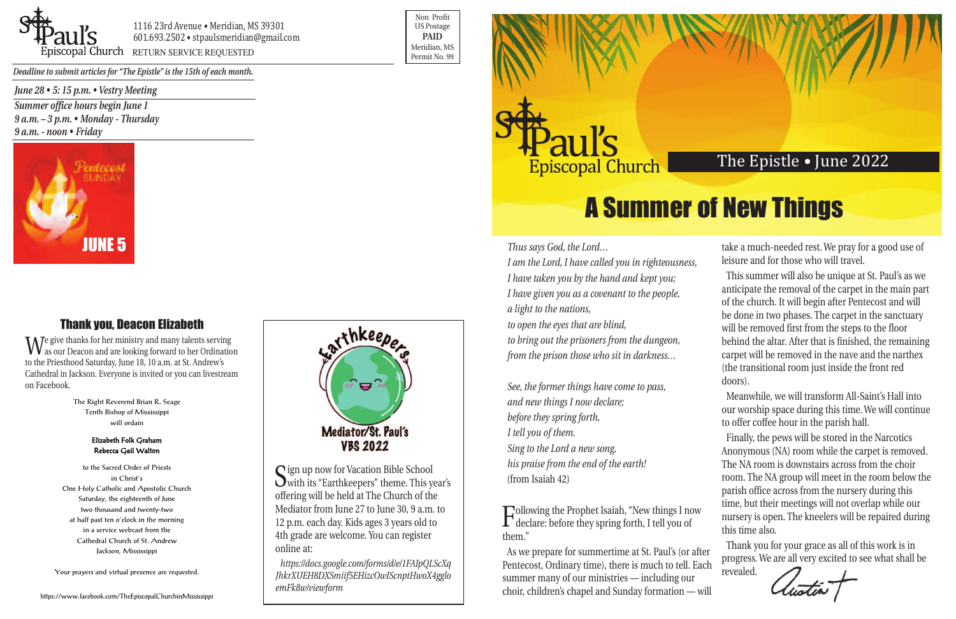*Thus says God, the Lord…*

*I am the Lord, I have called you in righteousness, I have taken you by the hand and kept you; I have given you as a covenant to the people, a light to the nations, to open the eyes that are blind, to bring out the prisoners from the dungeon, from the prison those who sit in darkness…*

*See, the former things have come to pass, and new things I now declare; before they spring forth, I tell you of them. Sing to the Lord a new song, his praise from the end of the earth!* (from Isaiah 42)

Following the Prophet Isaiah, "New things I now declare: before they spring forth, I tell you of them."

take a much-needed rest. We pray for a good use of leisure and for those who will travel.



1116 23rd Avenue • Meridian, MS 39301 601.693.2502 • stpaulsmeridian@gmail.com Piscopal Church RETURN SERVICE REQUESTED

> This summer will also be unique at St. Paul's as we anticipate the removal of the carpet in the main part of the church. It will begin after Pentecost and will be done in two phases. The carpet in the sanctuary will be removed first from the steps to the floor behind the altar. After that is finished, the remaining carpet will be removed in the nave and the narthex (the transitional room just inside the front red doors).

As we prepare for summertime at St. Paul's (or after Pentecost, Ordinary time), there is much to tell. Each summer many of our ministries — including our choir, children's chapel and Sunday formation — will Thank you for your grace as all of this work is in progress. We are all very excited to see what shall be revealed.

Meanwhile, we will transform All-Saint's Hall into our worship space during this time. We will continue to offer coffee hour in the parish hall.

Finally, the pews will be stored in the Narcotics Anonymous (NA) room while the carpet is removed. The NA room is downstairs across from the choir room. The NA group will meet in the room below the parish office across from the nursery during this time, but their meetings will not overlap while our nursery is open. The kneelers will be repaired during this time also.

Sign up now for Vacation Bible School<br>with its "Earthkeepers" theme. This year's offering will be held at The Church of the Mediator from June 27 to June 30, 9 a.m. to 12 p.m. each day. Kids ages 3 years old to 4th grade are welcome. You can register online at:

Non Profit US Postage **PAID** Meridian, MS



*Deadline to submit articles for "The Epistle" is the 15th of each month.* 

## The Epistle • June 2022

*June 28 • 5: 15 p.m. • Vestry Meeting*

*Summer office hours begin June 1 9 a.m. – 3 p.m. • Monday - Thursday 9 a.m. - noon • Friday*

# A Summer of New Things

## Thank you, Deacon Elizabeth

We give thanks for her ministry and many talents serving as our Deacon and are looking forward to her Ordination to the Priesthood Saturday, June 18, 10 a.m. at St. Andrew's Cathedral in Jackson. Everyone is invited or you can livestream on Facebook.

> The Right Reverend Brian R. Seage Tenth Bishop of Mississippi will ordain

### Elizabeth Folk Graham Rebecca Gail Walton

to the Sacred Order of Priests in Christ's One Holy Catholic and Apostolic Church Saturday, the eighteenth of June two thousand and twenty-two at half past ten o'clock in the morning in a service webcast from the Cathedral Church of St. Andrew Jackson, Mississippi

Your prayers and virtual presence are requested.







*https://docs.google.com/forms/d/e/1FAIpQLScXq JhkrXUEH8DXSmiif5EHizcOwIScnptHwoX4gglo emFk8w/viewform*